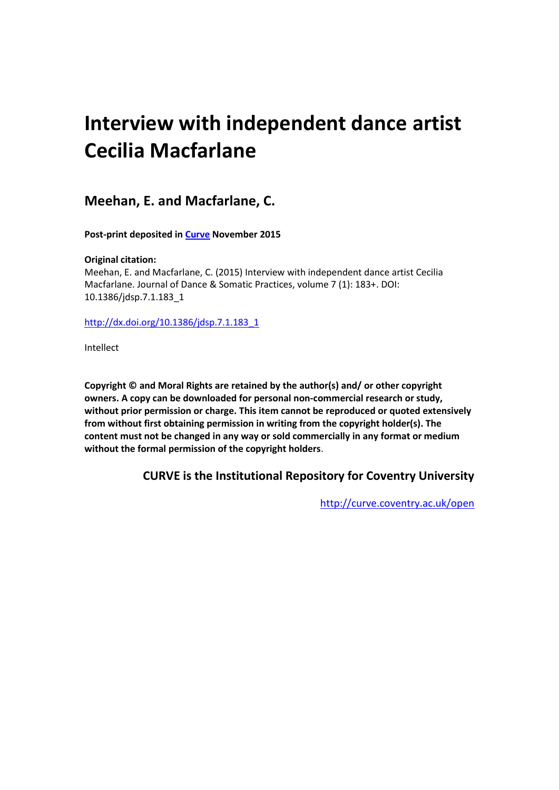# **Interview with independent dance artist Cecilia Macfarlane**

**Meehan, E. and Macfarlane, C.**

**Post-print deposited in [Curve](http://curve.coventry.ac.uk/open) November 2015**

### **Original citation:**

Meehan, E. and Macfarlane, C. (2015) Interview with independent dance artist Cecilia Macfarlane. Journal of Dance & Somatic Practices, volume 7 (1): 183+. DOI: 10.1386/jdsp.7.1.183\_1

[http://dx.doi.org/10.1386/jdsp.7.1.183\\_1](http://dx.doi.org/10.1386/jdsp.7.1.183_1)

Intellect

**Copyright © and Moral Rights are retained by the author(s) and/ or other copyright owners. A copy can be downloaded for personal non-commercial research or study, without prior permission or charge. This item cannot be reproduced or quoted extensively from without first obtaining permission in writing from the copyright holder(s). The content must not be changed in any way or sold commercially in any format or medium without the formal permission of the copyright holders**.

## **CURVE is the Institutional Repository for Coventry University**

<http://curve.coventry.ac.uk/open>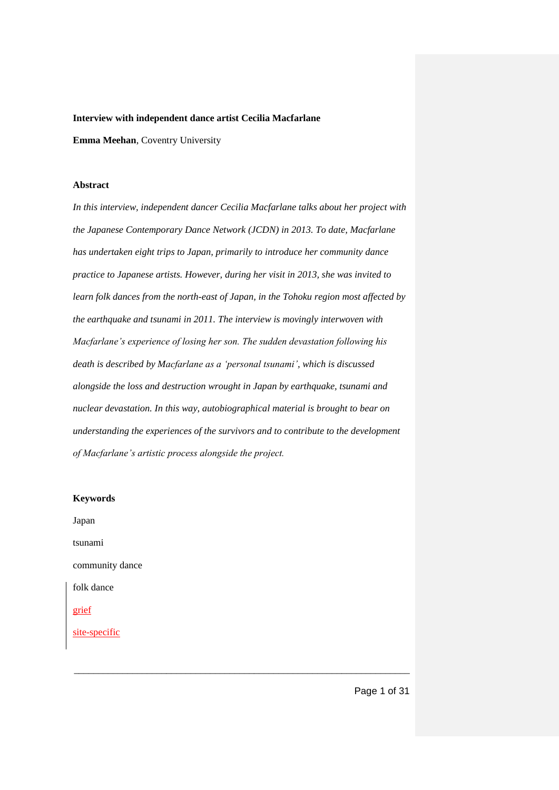#### **Interview with independent dance artist Cecilia Macfarlane**

**Emma Meehan**, Coventry University

#### **Abstract**

*In this interview, independent dancer Cecilia Macfarlane talks about her project with the Japanese Contemporary Dance Network (JCDN) in 2013. To date, Macfarlane has undertaken eight trips to Japan, primarily to introduce her community dance practice to Japanese artists. However, during her visit in 2013, she was invited to learn folk dances from the north-east of Japan, in the Tohoku region most affected by the earthquake and tsunami in 2011. The interview is movingly interwoven with Macfarlane's experience of losing her son. The sudden devastation following his death is described by Macfarlane as a 'personal tsunami', which is discussed alongside the loss and destruction wrought in Japan by earthquake, tsunami and nuclear devastation. In this way, autobiographical material is brought to bear on understanding the experiences of the survivors and to contribute to the development of Macfarlane's artistic process alongside the project.* 

| <b>Keywords</b> |
|-----------------|
| Japan           |
| tsunami         |
| community dance |
| folk dance      |
| grief           |
| site-specific   |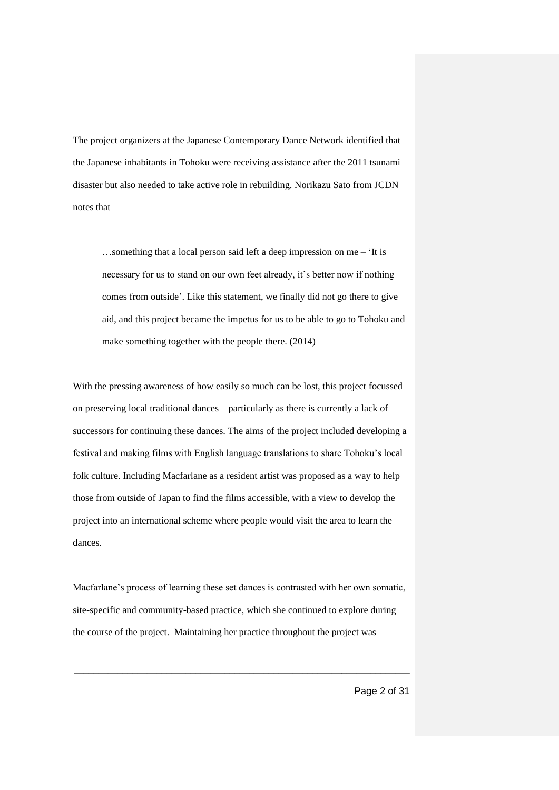The project organizers at the Japanese Contemporary Dance Network identified that the Japanese inhabitants in Tohoku were receiving assistance after the 2011 tsunami disaster but also needed to take active role in rebuilding. Norikazu Sato from JCDN notes that

…something that a local person said left a deep impression on me – 'It is necessary for us to stand on our own feet already, it's better now if nothing comes from outside'. Like this statement, we finally did not go there to give aid, and this project became the impetus for us to be able to go to Tohoku and make something together with the people there. (2014)

With the pressing awareness of how easily so much can be lost, this project focussed on preserving local traditional dances – particularly as there is currently a lack of successors for continuing these dances. The aims of the project included developing a festival and making films with English language translations to share Tohoku's local folk culture. Including Macfarlane as a resident artist was proposed as a way to help those from outside of Japan to find the films accessible, with a view to develop the project into an international scheme where people would visit the area to learn the dances.

Macfarlane's process of learning these set dances is contrasted with her own somatic, site-specific and community-based practice, which she continued to explore during the course of the project. Maintaining her practice throughout the project was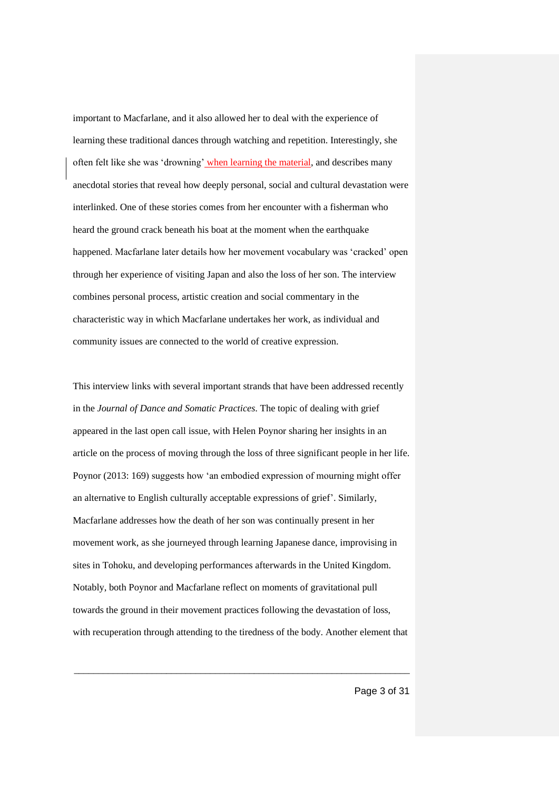important to Macfarlane, and it also allowed her to deal with the experience of learning these traditional dances through watching and repetition. Interestingly, she often felt like she was 'drowning' when learning the material, and describes many anecdotal stories that reveal how deeply personal, social and cultural devastation were interlinked. One of these stories comes from her encounter with a fisherman who heard the ground crack beneath his boat at the moment when the earthquake happened. Macfarlane later details how her movement vocabulary was 'cracked' open through her experience of visiting Japan and also the loss of her son. The interview combines personal process, artistic creation and social commentary in the characteristic way in which Macfarlane undertakes her work, as individual and community issues are connected to the world of creative expression.

This interview links with several important strands that have been addressed recently in the *Journal of Dance and Somatic Practices*. The topic of dealing with grief appeared in the last open call issue, with Helen Poynor sharing her insights in an article on the process of moving through the loss of three significant people in her life. Poynor (2013: 169) suggests how 'an embodied expression of mourning might offer an alternative to English culturally acceptable expressions of grief'. Similarly, Macfarlane addresses how the death of her son was continually present in her movement work, as she journeyed through learning Japanese dance, improvising in sites in Tohoku, and developing performances afterwards in the United Kingdom. Notably, both Poynor and Macfarlane reflect on moments of gravitational pull towards the ground in their movement practices following the devastation of loss, with recuperation through attending to the tiredness of the body. Another element that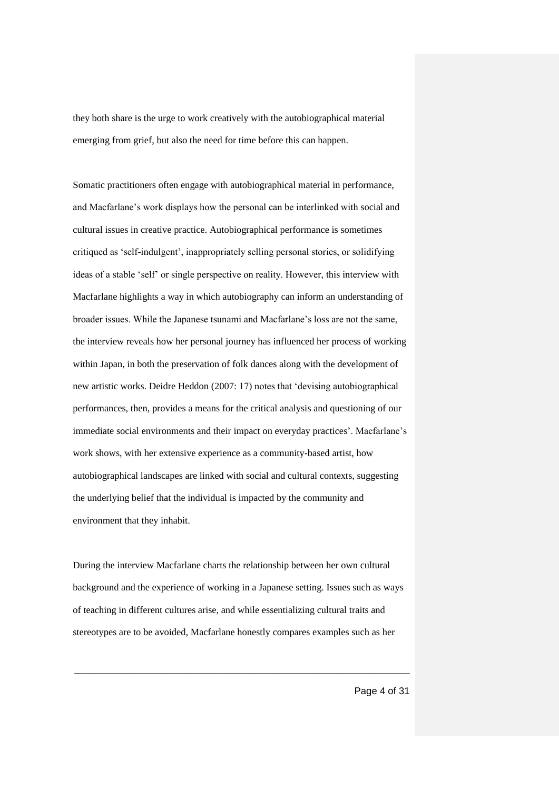they both share is the urge to work creatively with the autobiographical material emerging from grief, but also the need for time before this can happen.

Somatic practitioners often engage with autobiographical material in performance, and Macfarlane's work displays how the personal can be interlinked with social and cultural issues in creative practice. Autobiographical performance is sometimes critiqued as 'self-indulgent', inappropriately selling personal stories, or solidifying ideas of a stable 'self' or single perspective on reality. However, this interview with Macfarlane highlights a way in which autobiography can inform an understanding of broader issues. While the Japanese tsunami and Macfarlane's loss are not the same, the interview reveals how her personal journey has influenced her process of working within Japan, in both the preservation of folk dances along with the development of new artistic works. Deidre Heddon (2007: 17) notes that 'devising autobiographical performances, then, provides a means for the critical analysis and questioning of our immediate social environments and their impact on everyday practices'. Macfarlane's work shows, with her extensive experience as a community-based artist, how autobiographical landscapes are linked with social and cultural contexts, suggesting the underlying belief that the individual is impacted by the community and environment that they inhabit.

During the interview Macfarlane charts the relationship between her own cultural background and the experience of working in a Japanese setting. Issues such as ways of teaching in different cultures arise, and while essentializing cultural traits and stereotypes are to be avoided, Macfarlane honestly compares examples such as her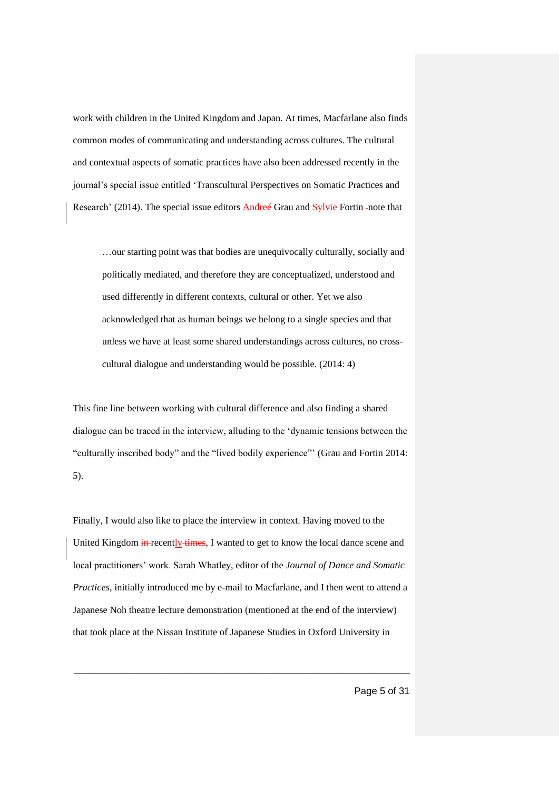work with children in the United Kingdom and Japan. At times, Macfarlane also finds common modes of communicating and understanding across cultures. The cultural and contextual aspects of somatic practices have also been addressed recently in the journal's special issue entitled 'Transcultural Perspectives on Somatic Practices and Research' (2014). The special issue editors Andreé Grau and Sylvie Fortin -note that

…our starting point was that bodies are unequivocally culturally, socially and politically mediated, and therefore they are conceptualized, understood and used differently in different contexts, cultural or other. Yet we also acknowledged that as human beings we belong to a single species and that unless we have at least some shared understandings across cultures, no crosscultural dialogue and understanding would be possible. (2014: 4)

This fine line between working with cultural difference and also finding a shared dialogue can be traced in the interview, alluding to the 'dynamic tensions between the "culturally inscribed body" and the "lived bodily experience"' (Grau and Fortin 2014: 5).

Finally, I would also like to place the interview in context. Having moved to the United Kingdom in recently times, I wanted to get to know the local dance scene and local practitioners' work. Sarah Whatley, editor of the *Journal of Dance and Somatic Practices*, initially introduced me by e-mail to Macfarlane, and I then went to attend a Japanese Noh theatre lecture demonstration (mentioned at the end of the interview) that took place at the Nissan Institute of Japanese Studies in Oxford University in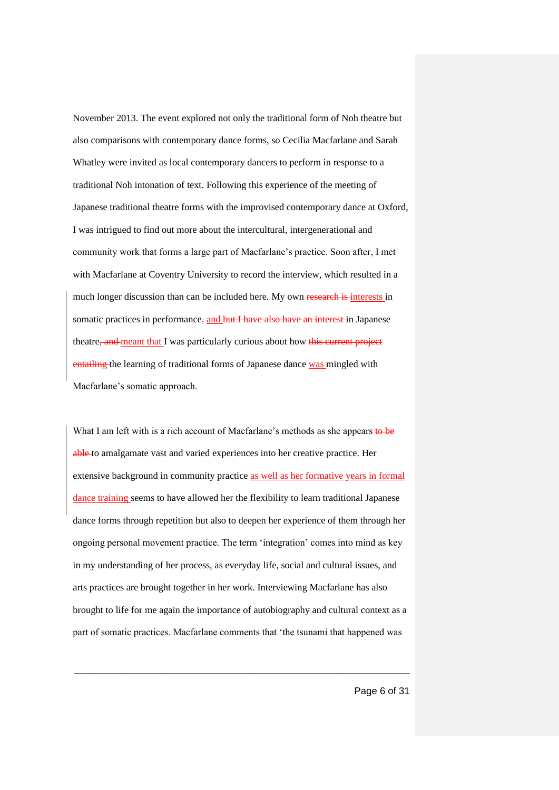November 2013. The event explored not only the traditional form of Noh theatre but also comparisons with contemporary dance forms, so Cecilia Macfarlane and Sarah Whatley were invited as local contemporary dancers to perform in response to a traditional Noh intonation of text. Following this experience of the meeting of Japanese traditional theatre forms with the improvised contemporary dance at Oxford, I was intrigued to find out more about the intercultural, intergenerational and community work that forms a large part of Macfarlane's practice. Soon after, I met with Macfarlane at Coventry University to record the interview, which resulted in a much longer discussion than can be included here. My own research is interests in somatic practices in performance, and but I have also have an interest in Japanese theatre, and meant that I was particularly curious about how this current project entailing the learning of traditional forms of Japanese dance was mingled with Macfarlane's somatic approach.

What I am left with is a rich account of Macfarlane's methods as she appears to be able to amalgamate vast and varied experiences into her creative practice. Her extensive background in community practice as well as her formative years in formal dance training seems to have allowed her the flexibility to learn traditional Japanese dance forms through repetition but also to deepen her experience of them through her ongoing personal movement practice. The term 'integration' comes into mind as key in my understanding of her process, as everyday life, social and cultural issues, and arts practices are brought together in her work. Interviewing Macfarlane has also brought to life for me again the importance of autobiography and cultural context as a part of somatic practices. Macfarlane comments that 'the tsunami that happened was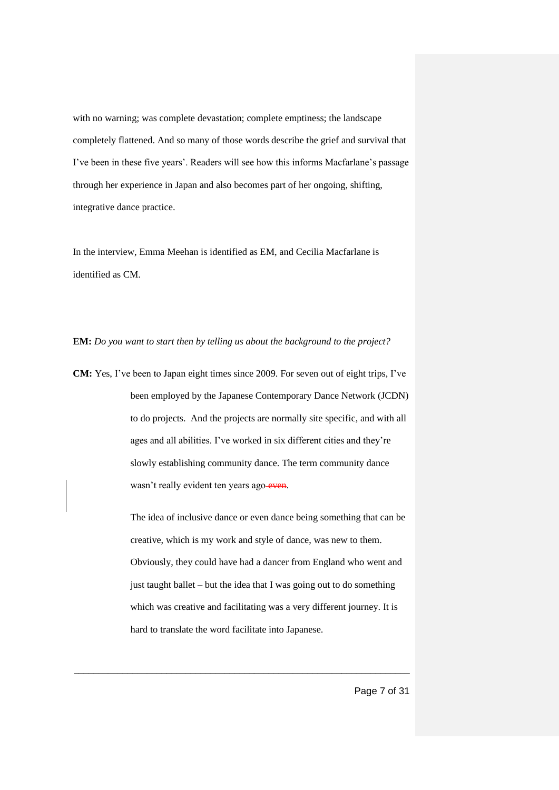with no warning; was complete devastation; complete emptiness; the landscape completely flattened. And so many of those words describe the grief and survival that I've been in these five years'. Readers will see how this informs Macfarlane's passage through her experience in Japan and also becomes part of her ongoing, shifting, integrative dance practice.

In the interview, Emma Meehan is identified as EM, and Cecilia Macfarlane is identified as CM.

**EM:** *Do you want to start then by telling us about the background to the project?* 

**CM:** Yes, I've been to Japan eight times since 2009. For seven out of eight trips, I've been employed by the Japanese Contemporary Dance Network (JCDN) to do projects. And the projects are normally site specific, and with all ages and all abilities. I've worked in six different cities and they're slowly establishing community dance. The term community dance wasn't really evident ten years ago-even.

> The idea of inclusive dance or even dance being something that can be creative, which is my work and style of dance, was new to them. Obviously, they could have had a dancer from England who went and just taught ballet – but the idea that I was going out to do something which was creative and facilitating was a very different journey. It is hard to translate the word facilitate into Japanese.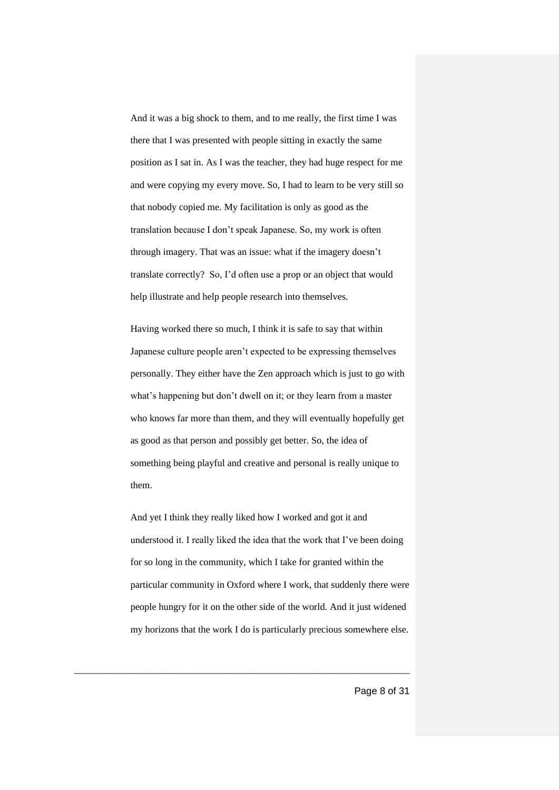And it was a big shock to them, and to me really, the first time I was there that I was presented with people sitting in exactly the same position as I sat in. As I was the teacher, they had huge respect for me and were copying my every move. So, I had to learn to be very still so that nobody copied me. My facilitation is only as good as the translation because I don't speak Japanese. So, my work is often through imagery. That was an issue: what if the imagery doesn't translate correctly? So, I'd often use a prop or an object that would help illustrate and help people research into themselves.

Having worked there so much, I think it is safe to say that within Japanese culture people aren't expected to be expressing themselves personally. They either have the Zen approach which is just to go with what's happening but don't dwell on it; or they learn from a master who knows far more than them, and they will eventually hopefully get as good as that person and possibly get better. So, the idea of something being playful and creative and personal is really unique to them.

And yet I think they really liked how I worked and got it and understood it. I really liked the idea that the work that I've been doing for so long in the community, which I take for granted within the particular community in Oxford where I work, that suddenly there were people hungry for it on the other side of the world. And it just widened my horizons that the work I do is particularly precious somewhere else.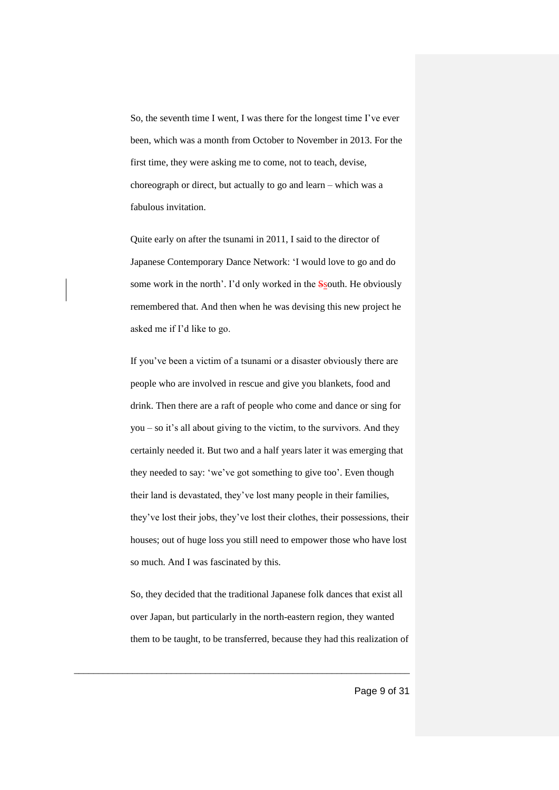So, the seventh time I went, I was there for the longest time I've ever been, which was a month from October to November in 2013. For the first time, they were asking me to come, not to teach, devise, choreograph or direct, but actually to go and learn – which was a fabulous invitation.

Quite early on after the tsunami in 2011, I said to the director of Japanese Contemporary Dance Network: 'I would love to go and do some work in the north'. I'd only worked in the Ssouth. He obviously remembered that. And then when he was devising this new project he asked me if I'd like to go.

If you've been a victim of a tsunami or a disaster obviously there are people who are involved in rescue and give you blankets, food and drink. Then there are a raft of people who come and dance or sing for you – so it's all about giving to the victim, to the survivors. And they certainly needed it. But two and a half years later it was emerging that they needed to say: 'we've got something to give too'. Even though their land is devastated, they've lost many people in their families, they've lost their jobs, they've lost their clothes, their possessions, their houses; out of huge loss you still need to empower those who have lost so much. And I was fascinated by this.

So, they decided that the traditional Japanese folk dances that exist all over Japan, but particularly in the north-eastern region, they wanted them to be taught, to be transferred, because they had this realization of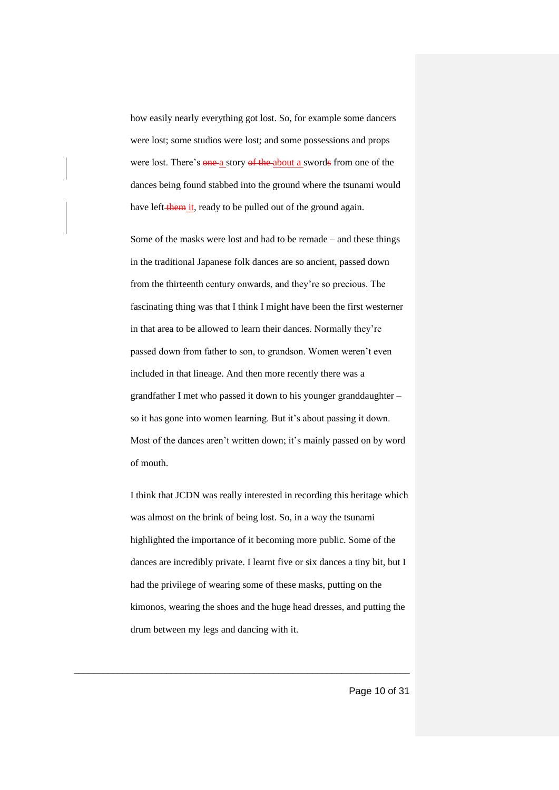how easily nearly everything got lost. So, for example some dancers were lost; some studios were lost; and some possessions and props were lost. There's one a story of the about a swords from one of the dances being found stabbed into the ground where the tsunami would have left-them it, ready to be pulled out of the ground again.

Some of the masks were lost and had to be remade – and these things in the traditional Japanese folk dances are so ancient, passed down from the thirteenth century onwards, and they're so precious. The fascinating thing was that I think I might have been the first westerner in that area to be allowed to learn their dances. Normally they're passed down from father to son, to grandson. Women weren't even included in that lineage. And then more recently there was a grandfather I met who passed it down to his younger granddaughter – so it has gone into women learning. But it's about passing it down. Most of the dances aren't written down; it's mainly passed on by word of mouth.

I think that JCDN was really interested in recording this heritage which was almost on the brink of being lost. So, in a way the tsunami highlighted the importance of it becoming more public. Some of the dances are incredibly private. I learnt five or six dances a tiny bit, but I had the privilege of wearing some of these masks, putting on the kimonos, wearing the shoes and the huge head dresses, and putting the drum between my legs and dancing with it.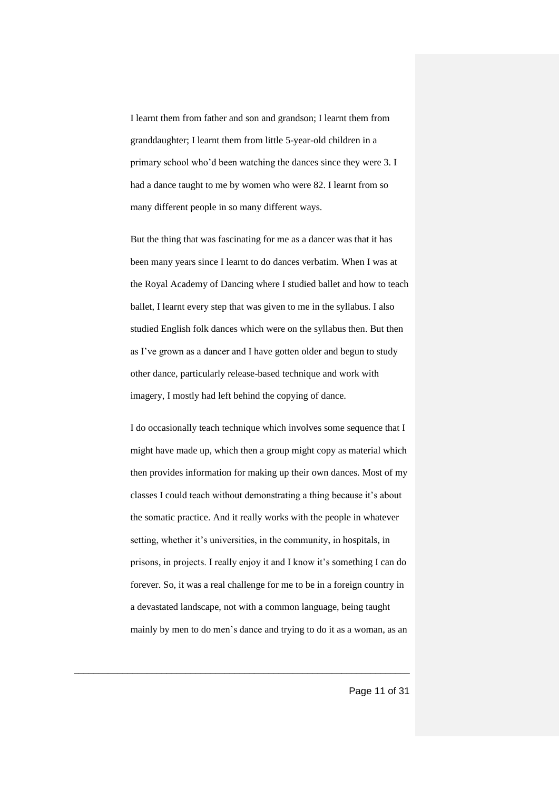I learnt them from father and son and grandson; I learnt them from granddaughter; I learnt them from little 5-year-old children in a primary school who'd been watching the dances since they were 3. I had a dance taught to me by women who were 82. I learnt from so many different people in so many different ways.

But the thing that was fascinating for me as a dancer was that it has been many years since I learnt to do dances verbatim. When I was at the Royal Academy of Dancing where I studied ballet and how to teach ballet, I learnt every step that was given to me in the syllabus. I also studied English folk dances which were on the syllabus then. But then as I've grown as a dancer and I have gotten older and begun to study other dance, particularly release-based technique and work with imagery, I mostly had left behind the copying of dance.

I do occasionally teach technique which involves some sequence that I might have made up, which then a group might copy as material which then provides information for making up their own dances. Most of my classes I could teach without demonstrating a thing because it's about the somatic practice. And it really works with the people in whatever setting, whether it's universities, in the community, in hospitals, in prisons, in projects. I really enjoy it and I know it's something I can do forever. So, it was a real challenge for me to be in a foreign country in a devastated landscape, not with a common language, being taught mainly by men to do men's dance and trying to do it as a woman, as an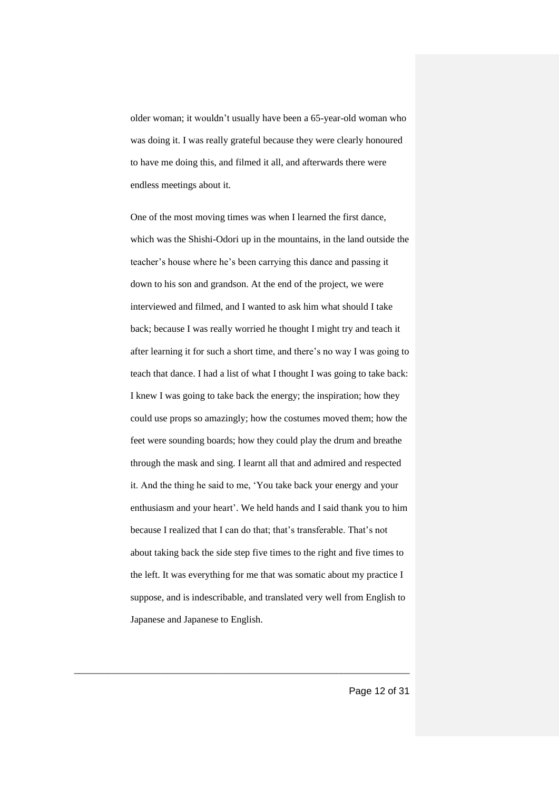older woman; it wouldn't usually have been a 65-year-old woman who was doing it. I was really grateful because they were clearly honoured to have me doing this, and filmed it all, and afterwards there were endless meetings about it.

One of the most moving times was when I learned the first dance, which was the Shishi-Odori up in the mountains, in the land outside the teacher's house where he's been carrying this dance and passing it down to his son and grandson. At the end of the project, we were interviewed and filmed, and I wanted to ask him what should I take back; because I was really worried he thought I might try and teach it after learning it for such a short time, and there's no way I was going to teach that dance. I had a list of what I thought I was going to take back: I knew I was going to take back the energy; the inspiration; how they could use props so amazingly; how the costumes moved them; how the feet were sounding boards; how they could play the drum and breathe through the mask and sing. I learnt all that and admired and respected it. And the thing he said to me, 'You take back your energy and your enthusiasm and your heart'. We held hands and I said thank you to him because I realized that I can do that; that's transferable. That's not about taking back the side step five times to the right and five times to the left. It was everything for me that was somatic about my practice I suppose, and is indescribable, and translated very well from English to Japanese and Japanese to English.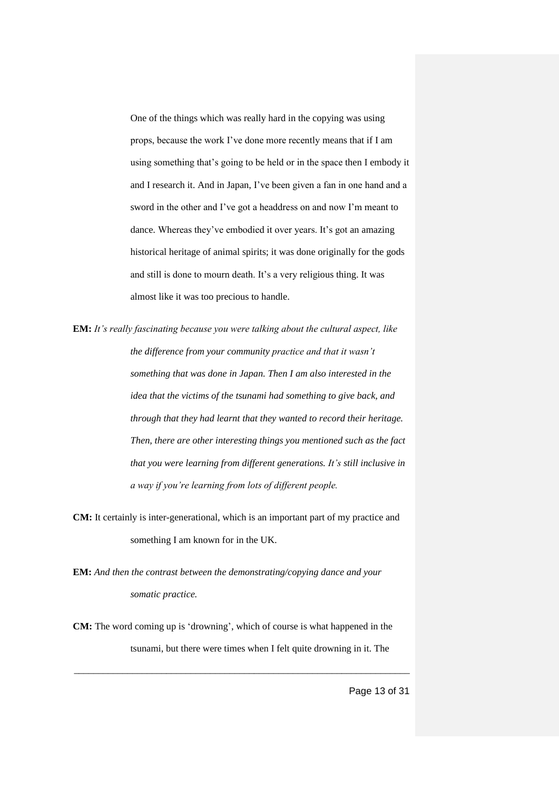One of the things which was really hard in the copying was using props, because the work I've done more recently means that if I am using something that's going to be held or in the space then I embody it and I research it. And in Japan, I've been given a fan in one hand and a sword in the other and I've got a headdress on and now I'm meant to dance. Whereas they've embodied it over years. It's got an amazing historical heritage of animal spirits; it was done originally for the gods and still is done to mourn death. It's a very religious thing. It was almost like it was too precious to handle.

**EM:** *It's really fascinating because you were talking about the cultural aspect, like the difference from your community practice and that it wasn't something that was done in Japan. Then I am also interested in the idea that the victims of the tsunami had something to give back, and through that they had learnt that they wanted to record their heritage. Then, there are other interesting things you mentioned such as the fact that you were learning from different generations. It's still inclusive in a way if you're learning from lots of different people.* 

**CM:** It certainly is inter-generational, which is an important part of my practice and something I am known for in the UK.

**EM:** *And then the contrast between the demonstrating/copying dance and your somatic practice.* 

**CM:** The word coming up is 'drowning', which of course is what happened in the tsunami, but there were times when I felt quite drowning in it. The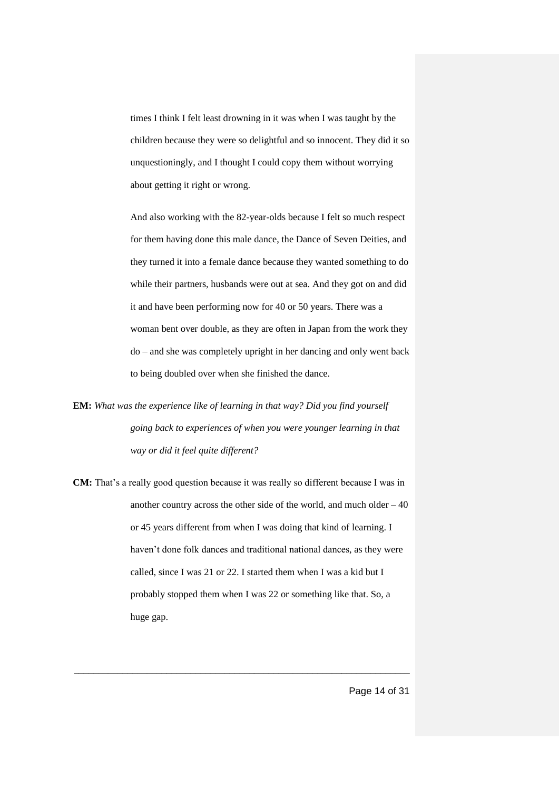times I think I felt least drowning in it was when I was taught by the children because they were so delightful and so innocent. They did it so unquestioningly, and I thought I could copy them without worrying about getting it right or wrong.

And also working with the 82-year-olds because I felt so much respect for them having done this male dance, the Dance of Seven Deities, and they turned it into a female dance because they wanted something to do while their partners, husbands were out at sea. And they got on and did it and have been performing now for 40 or 50 years. There was a woman bent over double, as they are often in Japan from the work they do – and she was completely upright in her dancing and only went back to being doubled over when she finished the dance.

**EM:** *What was the experience like of learning in that way? Did you find yourself going back to experiences of when you were younger learning in that way or did it feel quite different?* 

**CM:** That's a really good question because it was really so different because I was in another country across the other side of the world, and much older  $-40$ or 45 years different from when I was doing that kind of learning. I haven't done folk dances and traditional national dances, as they were called, since I was 21 or 22. I started them when I was a kid but I probably stopped them when I was 22 or something like that. So, a huge gap.

\_\_\_\_\_\_\_\_\_\_\_\_\_\_\_\_\_\_\_\_\_\_\_\_\_\_\_\_\_\_\_\_\_\_\_\_\_\_\_\_\_\_\_\_\_\_\_\_\_\_\_\_\_\_\_\_\_\_\_\_\_\_\_\_\_\_\_\_\_

Page 14 of 31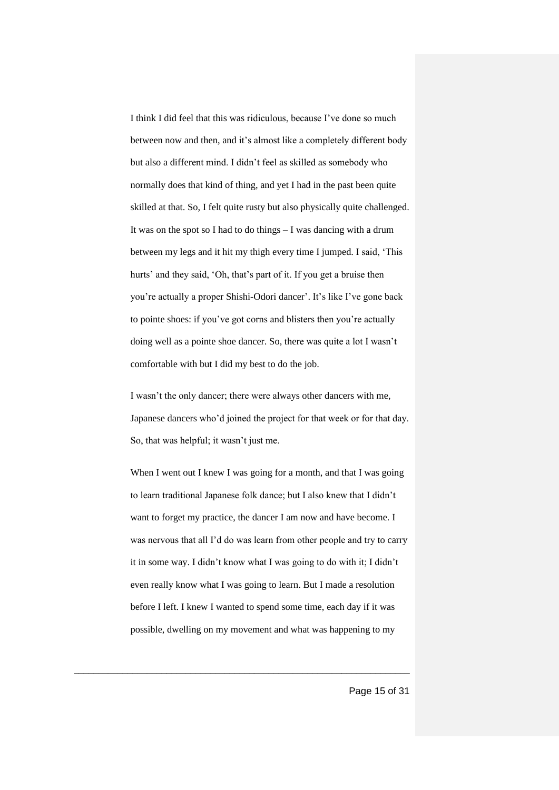I think I did feel that this was ridiculous, because I've done so much between now and then, and it's almost like a completely different body but also a different mind. I didn't feel as skilled as somebody who normally does that kind of thing, and yet I had in the past been quite skilled at that. So, I felt quite rusty but also physically quite challenged. It was on the spot so I had to do things – I was dancing with a drum between my legs and it hit my thigh every time I jumped. I said, 'This hurts' and they said, 'Oh, that's part of it. If you get a bruise then you're actually a proper Shishi-Odori dancer'. It's like I've gone back to pointe shoes: if you've got corns and blisters then you're actually doing well as a pointe shoe dancer. So, there was quite a lot I wasn't comfortable with but I did my best to do the job.

I wasn't the only dancer; there were always other dancers with me, Japanese dancers who'd joined the project for that week or for that day. So, that was helpful; it wasn't just me.

When I went out I knew I was going for a month, and that I was going to learn traditional Japanese folk dance; but I also knew that I didn't want to forget my practice, the dancer I am now and have become. I was nervous that all I'd do was learn from other people and try to carry it in some way. I didn't know what I was going to do with it; I didn't even really know what I was going to learn. But I made a resolution before I left. I knew I wanted to spend some time, each day if it was possible, dwelling on my movement and what was happening to my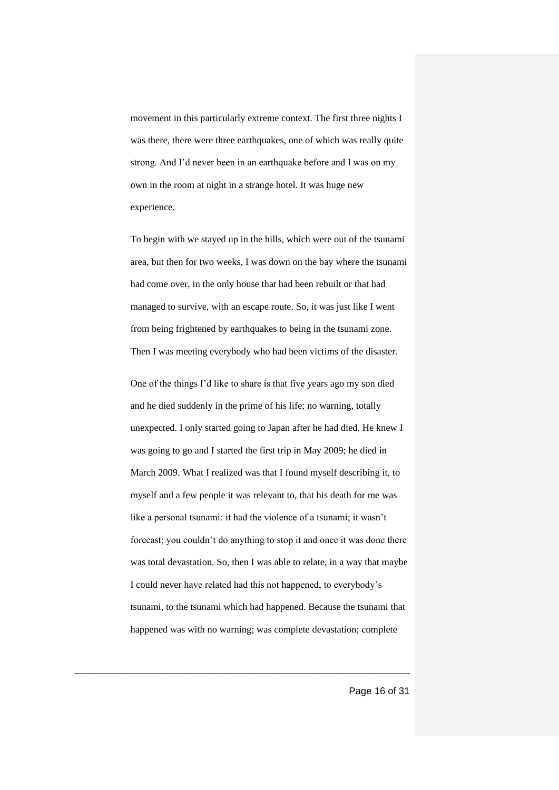movement in this particularly extreme context. The first three nights I was there, there were three earthquakes, one of which was really quite strong. And I'd never been in an earthquake before and I was on my own in the room at night in a strange hotel. It was huge new experience.

To begin with we stayed up in the hills, which were out of the tsunami area, but then for two weeks, I was down on the bay where the tsunami had come over, in the only house that had been rebuilt or that had managed to survive, with an escape route. So, it was just like I went from being frightened by earthquakes to being in the tsunami zone. Then I was meeting everybody who had been victims of the disaster.

One of the things I'd like to share is that five years ago my son died and he died suddenly in the prime of his life; no warning, totally unexpected. I only started going to Japan after he had died. He knew I was going to go and I started the first trip in May 2009; he died in March 2009. What I realized was that I found myself describing it, to myself and a few people it was relevant to, that his death for me was like a personal tsunami: it had the violence of a tsunami; it wasn't forecast; you couldn't do anything to stop it and once it was done there was total devastation. So, then I was able to relate, in a way that maybe I could never have related had this not happened, to everybody's tsunami, to the tsunami which had happened. Because the tsunami that happened was with no warning; was complete devastation; complete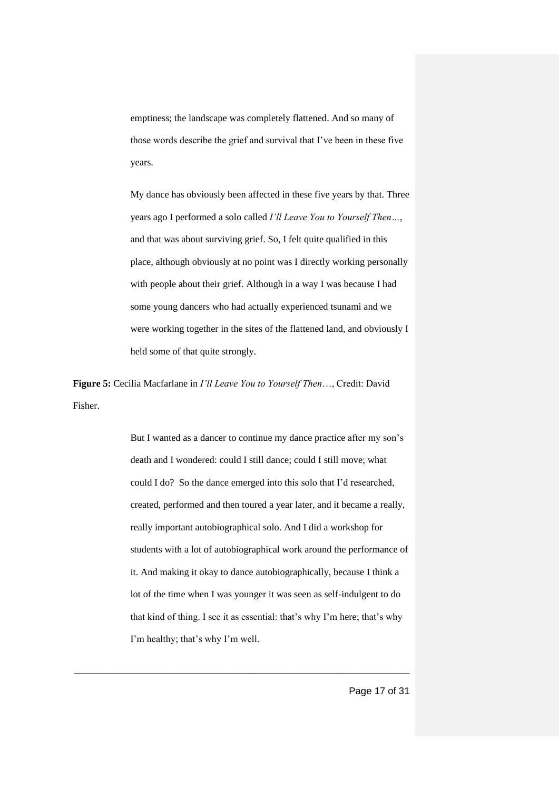emptiness; the landscape was completely flattened. And so many of those words describe the grief and survival that I've been in these five years.

My dance has obviously been affected in these five years by that. Three years ago I performed a solo called *I'll Leave You to Yourself Then…*, and that was about surviving grief. So, I felt quite qualified in this place, although obviously at no point was I directly working personally with people about their grief. Although in a way I was because I had some young dancers who had actually experienced tsunami and we were working together in the sites of the flattened land, and obviously I held some of that quite strongly.

**Figure 5:** Cecilia Macfarlane in *I'll Leave You to Yourself Then*…, Credit: David Fisher.

> But I wanted as a dancer to continue my dance practice after my son's death and I wondered: could I still dance; could I still move; what could I do? So the dance emerged into this solo that I'd researched, created, performed and then toured a year later, and it became a really, really important autobiographical solo. And I did a workshop for students with a lot of autobiographical work around the performance of it. And making it okay to dance autobiographically, because I think a lot of the time when I was younger it was seen as self-indulgent to do that kind of thing. I see it as essential: that's why I'm here; that's why I'm healthy; that's why I'm well.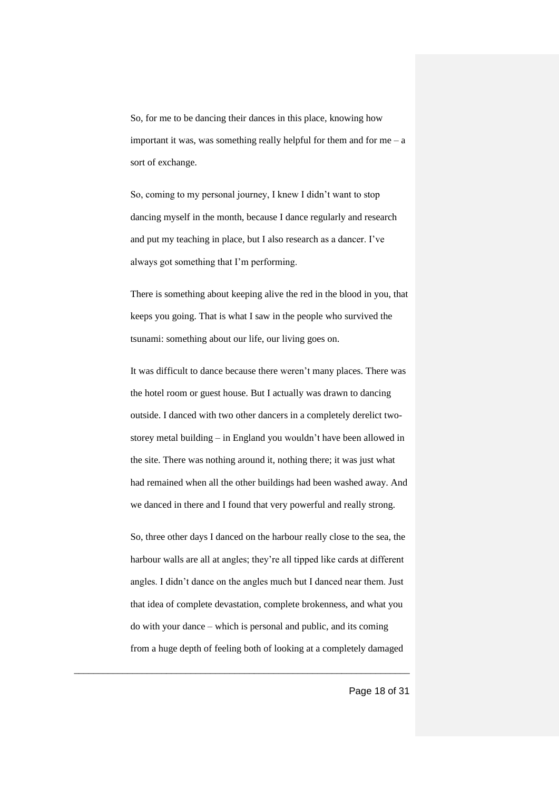So, for me to be dancing their dances in this place, knowing how important it was, was something really helpful for them and for me  $-$  a sort of exchange.

So, coming to my personal journey, I knew I didn't want to stop dancing myself in the month, because I dance regularly and research and put my teaching in place, but I also research as a dancer. I've always got something that I'm performing.

There is something about keeping alive the red in the blood in you, that keeps you going. That is what I saw in the people who survived the tsunami: something about our life, our living goes on.

It was difficult to dance because there weren't many places. There was the hotel room or guest house. But I actually was drawn to dancing outside. I danced with two other dancers in a completely derelict twostorey metal building – in England you wouldn't have been allowed in the site. There was nothing around it, nothing there; it was just what had remained when all the other buildings had been washed away. And we danced in there and I found that very powerful and really strong.

So, three other days I danced on the harbour really close to the sea, the harbour walls are all at angles; they're all tipped like cards at different angles. I didn't dance on the angles much but I danced near them. Just that idea of complete devastation, complete brokenness, and what you do with your dance – which is personal and public, and its coming from a huge depth of feeling both of looking at a completely damaged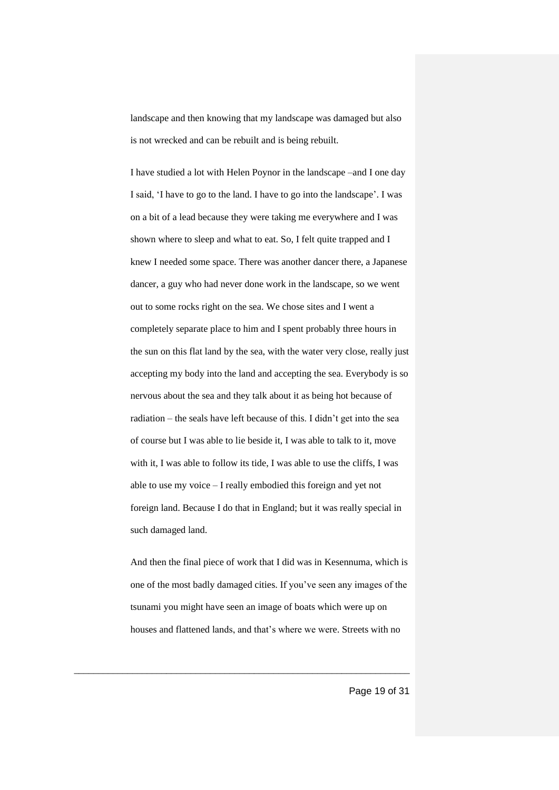landscape and then knowing that my landscape was damaged but also is not wrecked and can be rebuilt and is being rebuilt.

I have studied a lot with Helen Poynor in the landscape –and I one day I said, 'I have to go to the land. I have to go into the landscape'. I was on a bit of a lead because they were taking me everywhere and I was shown where to sleep and what to eat. So, I felt quite trapped and I knew I needed some space. There was another dancer there, a Japanese dancer, a guy who had never done work in the landscape, so we went out to some rocks right on the sea. We chose sites and I went a completely separate place to him and I spent probably three hours in the sun on this flat land by the sea, with the water very close, really just accepting my body into the land and accepting the sea. Everybody is so nervous about the sea and they talk about it as being hot because of radiation – the seals have left because of this. I didn't get into the sea of course but I was able to lie beside it, I was able to talk to it, move with it, I was able to follow its tide, I was able to use the cliffs, I was able to use my voice – I really embodied this foreign and yet not foreign land. Because I do that in England; but it was really special in such damaged land.

And then the final piece of work that I did was in Kesennuma, which is one of the most badly damaged cities. If you've seen any images of the tsunami you might have seen an image of boats which were up on houses and flattened lands, and that's where we were. Streets with no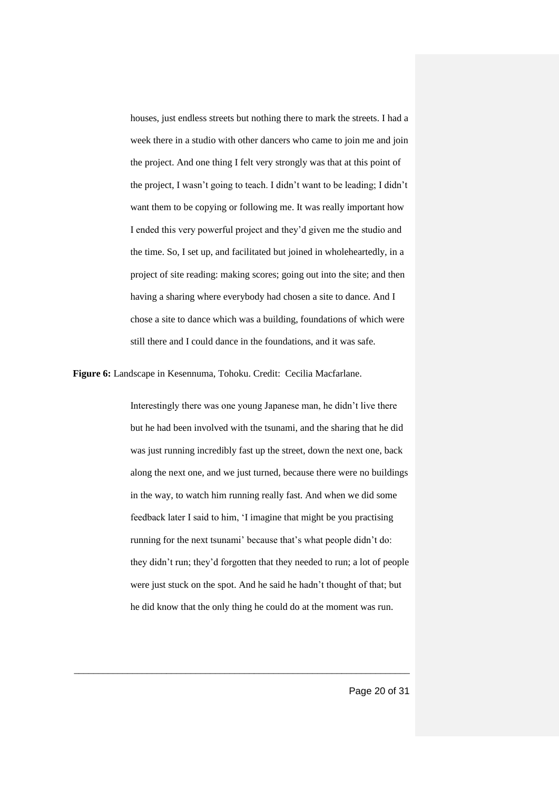houses, just endless streets but nothing there to mark the streets. I had a week there in a studio with other dancers who came to join me and join the project. And one thing I felt very strongly was that at this point of the project, I wasn't going to teach. I didn't want to be leading; I didn't want them to be copying or following me. It was really important how I ended this very powerful project and they'd given me the studio and the time. So, I set up, and facilitated but joined in wholeheartedly, in a project of site reading: making scores; going out into the site; and then having a sharing where everybody had chosen a site to dance. And I chose a site to dance which was a building, foundations of which were still there and I could dance in the foundations, and it was safe.

**Figure 6:** Landscape in Kesennuma, Tohoku. Credit: Cecilia Macfarlane.

Interestingly there was one young Japanese man, he didn't live there but he had been involved with the tsunami, and the sharing that he did was just running incredibly fast up the street, down the next one, back along the next one, and we just turned, because there were no buildings in the way, to watch him running really fast. And when we did some feedback later I said to him, 'I imagine that might be you practising running for the next tsunami' because that's what people didn't do: they didn't run; they'd forgotten that they needed to run; a lot of people were just stuck on the spot. And he said he hadn't thought of that; but he did know that the only thing he could do at the moment was run.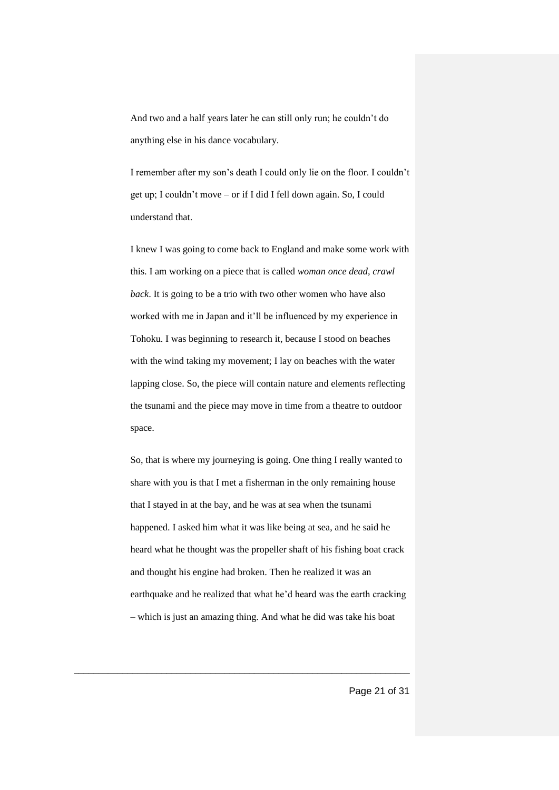And two and a half years later he can still only run; he couldn't do anything else in his dance vocabulary.

I remember after my son's death I could only lie on the floor. I couldn't get up; I couldn't move – or if I did I fell down again. So, I could understand that.

I knew I was going to come back to England and make some work with this. I am working on a piece that is called *woman once dead, crawl back*. It is going to be a trio with two other women who have also worked with me in Japan and it'll be influenced by my experience in Tohoku. I was beginning to research it, because I stood on beaches with the wind taking my movement; I lay on beaches with the water lapping close. So, the piece will contain nature and elements reflecting the tsunami and the piece may move in time from a theatre to outdoor space.

So, that is where my journeying is going. One thing I really wanted to share with you is that I met a fisherman in the only remaining house that I stayed in at the bay, and he was at sea when the tsunami happened. I asked him what it was like being at sea, and he said he heard what he thought was the propeller shaft of his fishing boat crack and thought his engine had broken. Then he realized it was an earthquake and he realized that what he'd heard was the earth cracking – which is just an amazing thing. And what he did was take his boat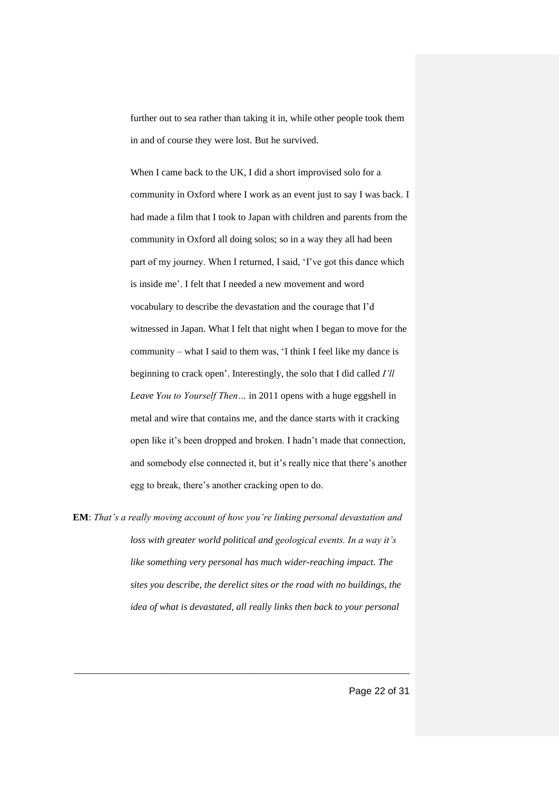further out to sea rather than taking it in, while other people took them in and of course they were lost. But he survived.

When I came back to the UK, I did a short improvised solo for a community in Oxford where I work as an event just to say I was back. I had made a film that I took to Japan with children and parents from the community in Oxford all doing solos; so in a way they all had been part of my journey. When I returned, I said, 'I've got this dance which is inside me'. I felt that I needed a new movement and word vocabulary to describe the devastation and the courage that I'd witnessed in Japan. What I felt that night when I began to move for the community – what I said to them was, 'I think I feel like my dance is beginning to crack open'. Interestingly, the solo that I did called *I'll Leave You to Yourself Then…* in 2011 opens with a huge eggshell in metal and wire that contains me, and the dance starts with it cracking open like it's been dropped and broken. I hadn't made that connection, and somebody else connected it, but it's really nice that there's another egg to break, there's another cracking open to do.

**EM**: *That's a really moving account of how you're linking personal devastation and loss with greater world political and geological events. In a way it's like something very personal has much wider-reaching impact. The sites you describe, the derelict sites or the road with no buildings, the idea of what is devastated, all really links then back to your personal*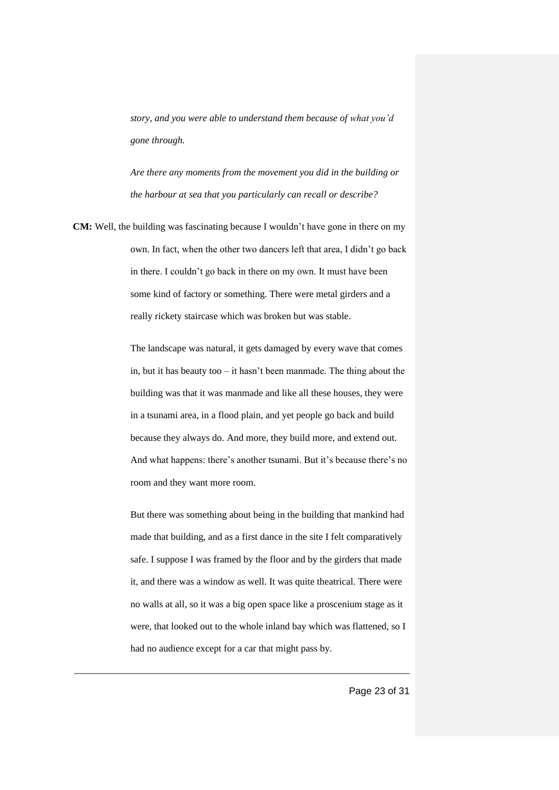*story, and you were able to understand them because of what you'd gone through.*

*Are there any moments from the movement you did in the building or the harbour at sea that you particularly can recall or describe?* 

**CM:** Well, the building was fascinating because I wouldn't have gone in there on my own. In fact, when the other two dancers left that area, I didn't go back in there. I couldn't go back in there on my own. It must have been some kind of factory or something. There were metal girders and a really rickety staircase which was broken but was stable.

> The landscape was natural, it gets damaged by every wave that comes in, but it has beauty too – it hasn't been manmade. The thing about the building was that it was manmade and like all these houses, they were in a tsunami area, in a flood plain, and yet people go back and build because they always do. And more, they build more, and extend out. And what happens: there's another tsunami. But it's because there's no room and they want more room.

> But there was something about being in the building that mankind had made that building, and as a first dance in the site I felt comparatively safe. I suppose I was framed by the floor and by the girders that made it, and there was a window as well. It was quite theatrical. There were no walls at all, so it was a big open space like a proscenium stage as it were, that looked out to the whole inland bay which was flattened, so I had no audience except for a car that might pass by.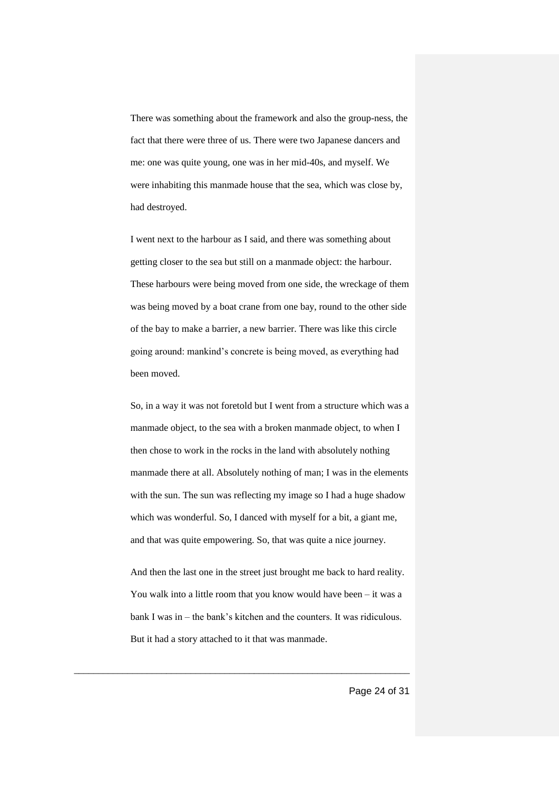There was something about the framework and also the group-ness, the fact that there were three of us. There were two Japanese dancers and me: one was quite young, one was in her mid-40s, and myself. We were inhabiting this manmade house that the sea, which was close by, had destroyed.

I went next to the harbour as I said, and there was something about getting closer to the sea but still on a manmade object: the harbour. These harbours were being moved from one side, the wreckage of them was being moved by a boat crane from one bay, round to the other side of the bay to make a barrier, a new barrier. There was like this circle going around: mankind's concrete is being moved, as everything had been moved.

So, in a way it was not foretold but I went from a structure which was a manmade object, to the sea with a broken manmade object, to when I then chose to work in the rocks in the land with absolutely nothing manmade there at all. Absolutely nothing of man; I was in the elements with the sun. The sun was reflecting my image so I had a huge shadow which was wonderful. So, I danced with myself for a bit, a giant me, and that was quite empowering. So, that was quite a nice journey.

And then the last one in the street just brought me back to hard reality. You walk into a little room that you know would have been – it was a bank I was in – the bank's kitchen and the counters. It was ridiculous. But it had a story attached to it that was manmade.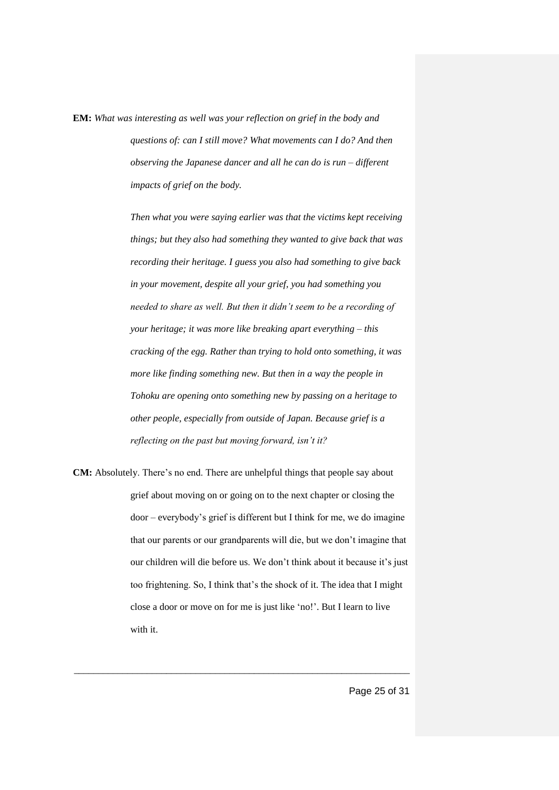**EM:** *What was interesting as well was your reflection on grief in the body and questions of: can I still move? What movements can I do? And then observing the Japanese dancer and all he can do is run – different impacts of grief on the body.* 

> *Then what you were saying earlier was that the victims kept receiving things; but they also had something they wanted to give back that was recording their heritage. I guess you also had something to give back in your movement, despite all your grief, you had something you needed to share as well. But then it didn't seem to be a recording of your heritage; it was more like breaking apart everything – this cracking of the egg. Rather than trying to hold onto something, it was more like finding something new. But then in a way the people in Tohoku are opening onto something new by passing on a heritage to other people, especially from outside of Japan. Because grief is a reflecting on the past but moving forward, isn't it?*

**CM:** Absolutely. There's no end. There are unhelpful things that people say about grief about moving on or going on to the next chapter or closing the door – everybody's grief is different but I think for me, we do imagine that our parents or our grandparents will die, but we don't imagine that our children will die before us. We don't think about it because it's just too frightening. So, I think that's the shock of it. The idea that I might close a door or move on for me is just like 'no!'. But I learn to live with it.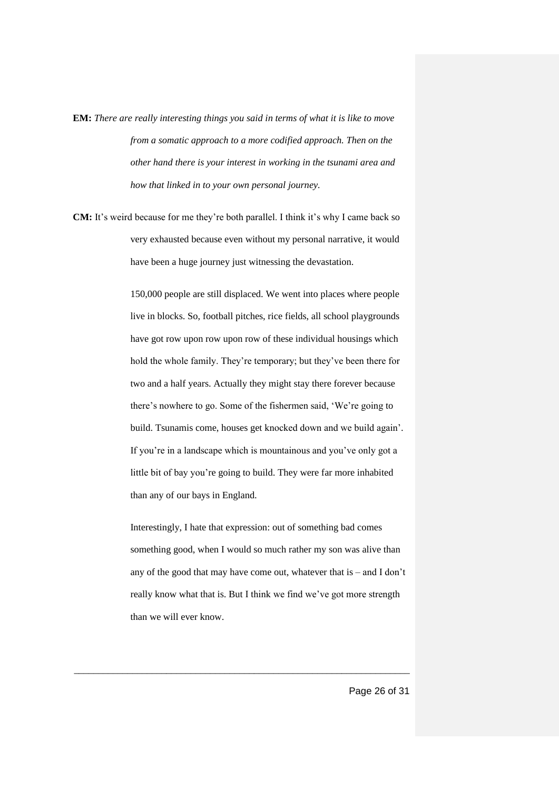**EM:** *There are really interesting things you said in terms of what it is like to move from a somatic approach to a more codified approach. Then on the other hand there is your interest in working in the tsunami area and how that linked in to your own personal journey.* 

**CM:** It's weird because for me they're both parallel. I think it's why I came back so very exhausted because even without my personal narrative, it would have been a huge journey just witnessing the devastation.

> 150,000 people are still displaced. We went into places where people live in blocks. So, football pitches, rice fields, all school playgrounds have got row upon row upon row of these individual housings which hold the whole family. They're temporary; but they've been there for two and a half years. Actually they might stay there forever because there's nowhere to go. Some of the fishermen said, 'We're going to build. Tsunamis come, houses get knocked down and we build again'. If you're in a landscape which is mountainous and you've only got a little bit of bay you're going to build. They were far more inhabited than any of our bays in England.

Interestingly, I hate that expression: out of something bad comes something good, when I would so much rather my son was alive than any of the good that may have come out, whatever that is – and I don't really know what that is. But I think we find we've got more strength than we will ever know.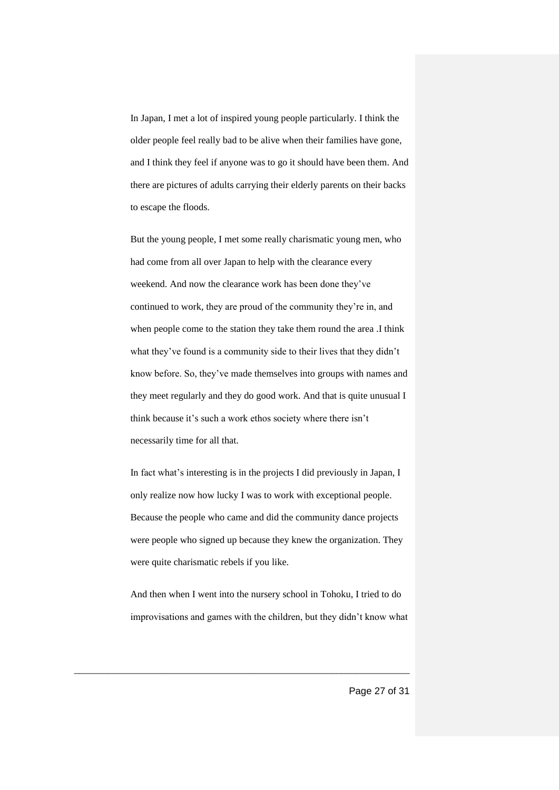In Japan, I met a lot of inspired young people particularly. I think the older people feel really bad to be alive when their families have gone, and I think they feel if anyone was to go it should have been them. And there are pictures of adults carrying their elderly parents on their backs to escape the floods.

But the young people, I met some really charismatic young men, who had come from all over Japan to help with the clearance every weekend. And now the clearance work has been done they've continued to work, they are proud of the community they're in, and when people come to the station they take them round the area .I think what they've found is a community side to their lives that they didn't know before. So, they've made themselves into groups with names and they meet regularly and they do good work. And that is quite unusual I think because it's such a work ethos society where there isn't necessarily time for all that.

In fact what's interesting is in the projects I did previously in Japan, I only realize now how lucky I was to work with exceptional people. Because the people who came and did the community dance projects were people who signed up because they knew the organization. They were quite charismatic rebels if you like.

And then when I went into the nursery school in Tohoku, I tried to do improvisations and games with the children, but they didn't know what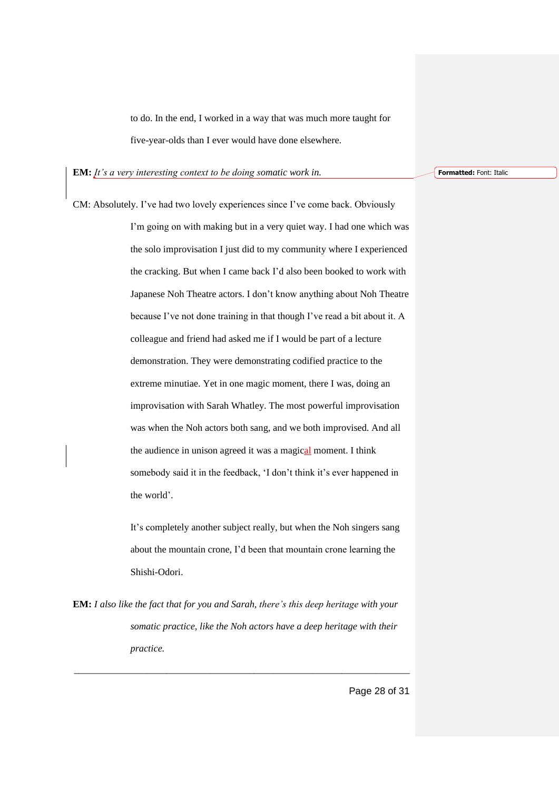to do. In the end, I worked in a way that was much more taught for five-year-olds than I ever would have done elsewhere.

**EM:** *It's a very interesting context to be doing somatic work in.* 

CM: Absolutely. I've had two lovely experiences since I've come back. Obviously I'm going on with making but in a very quiet way. I had one which was the solo improvisation I just did to my community where I experienced the cracking. But when I came back I'd also been booked to work with Japanese Noh Theatre actors. I don't know anything about Noh Theatre because I've not done training in that though I've read a bit about it. A colleague and friend had asked me if I would be part of a lecture demonstration. They were demonstrating codified practice to the extreme minutiae. Yet in one magic moment, there I was, doing an improvisation with Sarah Whatley. The most powerful improvisation was when the Noh actors both sang, and we both improvised. And all the audience in unison agreed it was a magical moment. I think somebody said it in the feedback, 'I don't think it's ever happened in the world'.

> It's completely another subject really, but when the Noh singers sang about the mountain crone, I'd been that mountain crone learning the Shishi-Odori.

**EM:** *I also like the fact that for you and Sarah, there's this deep heritage with your somatic practice, like the Noh actors have a deep heritage with their practice.*

\_\_\_\_\_\_\_\_\_\_\_\_\_\_\_\_\_\_\_\_\_\_\_\_\_\_\_\_\_\_\_\_\_\_\_\_\_\_\_\_\_\_\_\_\_\_\_\_\_\_\_\_\_\_\_\_\_\_\_\_\_\_\_\_\_\_\_\_\_

**Formatted:** Font: Italic

Page 28 of 31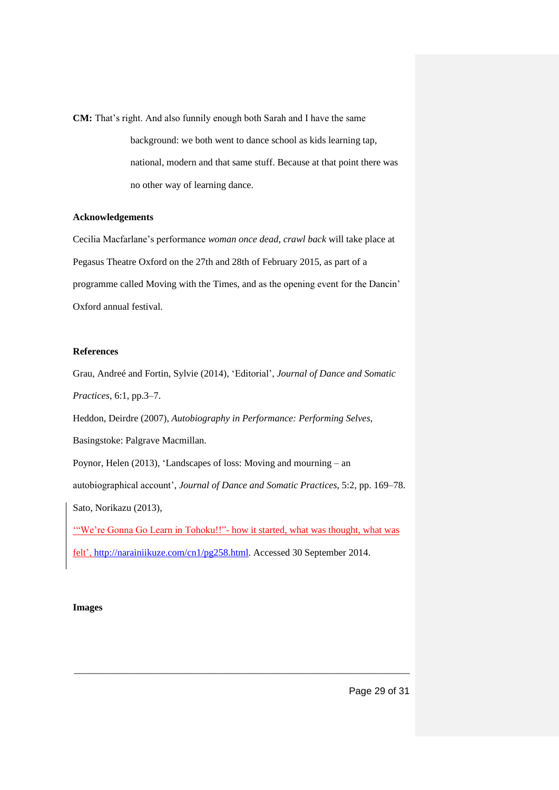**CM:** That's right. And also funnily enough both Sarah and I have the same

background: we both went to dance school as kids learning tap, national, modern and that same stuff. Because at that point there was no other way of learning dance.

#### **Acknowledgements**

Cecilia Macfarlane's performance *woman once dead, crawl back* will take place at Pegasus Theatre Oxford on the 27th and 28th of February 2015, as part of a programme called Moving with the Times, and as the opening event for the Dancin' Oxford annual festival.

#### **References**

Grau, Andreé and Fortin, Sylvie (2014), 'Editorial', *Journal of Dance and Somatic Practices*, 6:1, pp.3–7.

Heddon, Deirdre (2007), *Autobiography in Performance: Performing Selves*,

Basingstoke: Palgrave Macmillan.

Poynor, Helen (2013), 'Landscapes of loss: Moving and mourning – an

autobiographical account', *Journal of Dance and Somatic Practices*, 5:2, pp. 169–78.

Sato, Norikazu (2013),

'"We're Gonna Go Learn in Tohoku!!"- how it started, what was thought, what was

\_\_\_\_\_\_\_\_\_\_\_\_\_\_\_\_\_\_\_\_\_\_\_\_\_\_\_\_\_\_\_\_\_\_\_\_\_\_\_\_\_\_\_\_\_\_\_\_\_\_\_\_\_\_\_\_\_\_\_\_\_\_\_\_\_\_\_\_\_

felt', [http://narainiikuze.com/cn1/pg258.html.](http://narainiikuze.com/cn1/pg258.html) Accessed 30 September 2014.

#### **Images**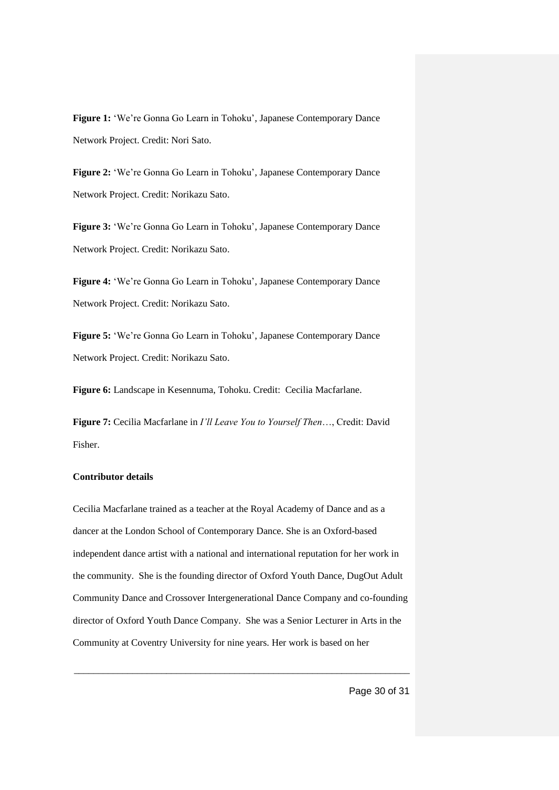**Figure 1:** 'We're Gonna Go Learn in Tohoku', Japanese Contemporary Dance Network Project. Credit: Nori Sato.

**Figure 2:** 'We're Gonna Go Learn in Tohoku', Japanese Contemporary Dance Network Project. Credit: Norikazu Sato.

**Figure 3:** 'We're Gonna Go Learn in Tohoku', Japanese Contemporary Dance Network Project. Credit: Norikazu Sato.

**Figure 4:** 'We're Gonna Go Learn in Tohoku', Japanese Contemporary Dance Network Project. Credit: Norikazu Sato.

**Figure 5:** 'We're Gonna Go Learn in Tohoku', Japanese Contemporary Dance Network Project. Credit: Norikazu Sato.

**Figure 6:** Landscape in Kesennuma, Tohoku. Credit: Cecilia Macfarlane.

**Figure 7:** Cecilia Macfarlane in *I'll Leave You to Yourself Then*…, Credit: David Fisher.

#### **Contributor details**

Cecilia Macfarlane trained as a teacher at the Royal Academy of Dance and as a dancer at the London School of Contemporary Dance. She is an Oxford-based independent dance artist with a national and international reputation for her work in the community. She is the founding director of Oxford Youth Dance, DugOut Adult Community Dance and Crossover Intergenerational Dance Company and co-founding director of Oxford Youth Dance Company. She was a Senior Lecturer in Arts in the Community at Coventry University for nine years. Her work is based on her